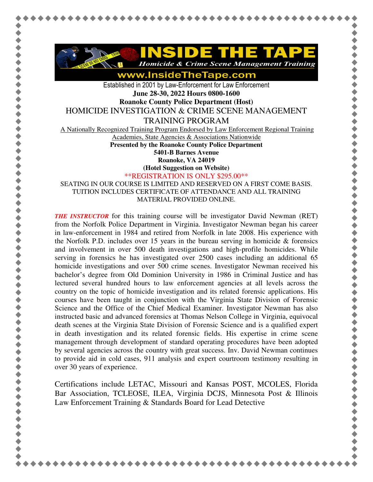

www.InsideTheTape.com

Established in 2001 by Law-Enforcement for Law Enforcement **June 28-30, 2022 Hours 0800-1600** 

**Roanoke County Police Department (Host)** 

HOMICIDE INVESTIGATION & CRIME SCENE MANAGEMENT

TRAINING PROGRAM

A Nationally Recognized Training Program Endorsed by Law Enforcement Regional Training

Academies, State Agencies & Associations Nationwide

**Presented by the Roanoke County Police Department** 

**5401-B Barnes Avenue** 

**Roanoke, VA 24019** 

**(Hotel Suggestion on Website)**

\*\*REGISTRATION IS ONLY \$295.00\*\*

SEATING IN OUR COURSE IS LIMITED AND RESERVED ON A FIRST COME BASIS. TUITION INCLUDES CERTIFICATE OF ATTENDANCE AND ALL TRAINING MATERIAL PROVIDED ONLINE.

*THE INSTRUCTOR* for this training course will be investigator David Newman (RET) from the Norfolk Police Department in Virginia. Investigator Newman began his career in law-enforcement in 1984 and retired from Norfolk in late 2008. His experience with the Norfolk P.D. includes over 15 years in the bureau serving in homicide  $\&$  forensics and involvement in over 500 death investigations and high-profile homicides. While serving in forensics he has investigated over 2500 cases including an additional 65 homicide investigations and over 500 crime scenes. Investigator Newman received his bachelor's degree from Old Dominion University in 1986 in Criminal Justice and has lectured several hundred hours to law enforcement agencies at all levels across the country on the topic of homicide investigation and its related forensic applications. His courses have been taught in conjunction with the Virginia State Division of Forensic Science and the Office of the Chief Medical Examiner. Investigator Newman has also instructed basic and advanced forensics at Thomas Nelson College in Virginia, equivocal death scenes at the Virginia State Division of Forensic Science and is a qualified expert in death investigation and its related forensic fields. His expertise in crime scene management through development of standard operating procedures have been adopted by several agencies across the country with great success. Inv. David Newman continues to provide aid in cold cases, 911 analysis and expert courtroom testimony resulting in over 30 years of experience.

Certifications include LETAC, Missouri and Kansas POST, MCOLES, Florida Bar Association, TCLEOSE, ILEA, Virginia DCJS, Minnesota Post & Illinois Law Enforcement Training & Standards Board for Lead Detective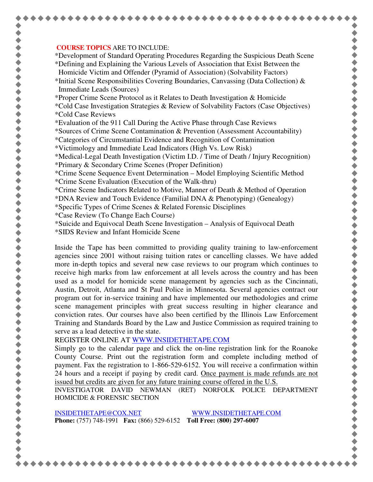## **COURSE TOPICS** ARE TO INCLUDE:

\*Development of Standard Operating Procedures Regarding the Suspicious Death Scene \*Defining and Explaining the Various Levels of Association that Exist Between the Homicide Victim and Offender (Pyramid of Association) (Solvability Factors)

\*Initial Scene Responsibilities Covering Boundaries, Canvassing (Data Collection)  $\&$ Immediate Leads (Sources)

\*Proper Crime Scene Protocol as it Relates to Death Investigation & Homicide

- \*Cold Case Investigation Strategies & Review of Solvability Factors (Case Objectives) \*Cold Case Reviews
- \*Evaluation of the 911 Call During the Active Phase through Case Reviews

\*Sources of Crime Scene Contamination & Prevention (Assessment Accountability)

- \*Categories of Circumstantial Evidence and Recognition of Contamination
- \*Victimology and Immediate Lead Indicators (High Vs. Low Risk)

\*Medical-Legal Death Investigation (Victim I.D. / Time of Death / Injury Recognition)

- \*Primary & Secondary Crime Scenes (Proper Definition)
- \*Crime Scene Sequence Event Determination Model Employing Scientific Method \*Crime Scene Evaluation (Execution of the Walk-thru)
- \*Crime Scene Indicators Related to Motive, Manner of Death & Method of Operation

\*DNA Review and Touch Evidence (Familial DNA & Phenotyping) (Genealogy)

- \*Specific Types of Crime Scenes & Related Forensic Disciplines
- \*Case Review (To Change Each Course)
- \*Suicide and Equivocal Death Scene Investigation Analysis of Equivocal Death
- \*SIDS Review and Infant Homicide Scene

Inside the Tape has been committed to providing quality training to law-enforcement agencies since 2001 without raising tuition rates or cancelling classes. We have added more in-depth topics and several new case reviews to our program which continues to receive high marks from law enforcement at all levels across the country and has been used as a model for homicide scene management by agencies such as the Cincinnati, Austin, Detroit, Atlanta and St Paul Police in Minnesota. Several agencies contract our program out for in-service training and have implemented our methodologies and crime scene management principles with great success resulting in higher clearance and conviction rates. Our courses have also been certified by the Illinois Law Enforcement Training and Standards Board by the Law and Justice Commission as required training to serve as a lead detective in the state.

REGISTER ONLINE AT WWW.INSIDETHETAPE.COM

Simply go to the calendar page and click the on-line registration link for the Roanoke County Course. Print out the registration form and complete including method of payment. Fax the registration to 1-866-529-6152. You will receive a confirmation within 24 hours and a receipt if paying by credit card. Once payment is made refunds are not issued but credits are given for any future training course offered in the U.S.

INVESTIGATOR DAVID NEWMAN (RET) NORFOLK POLICE DEPARTMENT HOMICIDE & FORENSIC SECTION

INSIDETHETAPE@COX.NET WWW.INSIDETHETAPE.COM **Phone:** (757) 748-1991 **Fax:** (866) 529-6152 **Toll Free: (800) 297-6007**